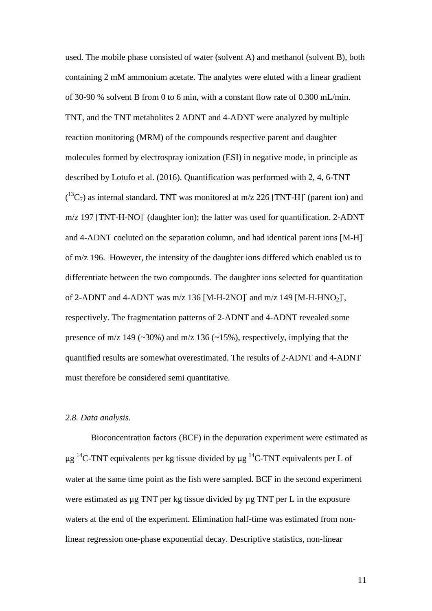used. The mobile phase consisted of water (solvent A) and methanol (solvent B), both containing 2 mM ammonium acetate. The analytes were eluted with a linear gradient of 30-90 % solvent B from 0 to 6 min, with a constant flow rate of 0.300 mL/min. TNT, and the TNT metabolites 2 ADNT and 4-ADNT were analyzed by multiple reaction monitoring (MRM) of the compounds respective parent and daughter molecules formed by electrospray ionization (ESI) in negative mode, in principle as described by Lotufo et al. (2016). Quantification was performed with 2, 4, 6-TNT  $(^{13}C_7)$  as internal standard. TNT was monitored at m/z 226 [TNT-H] (parent ion) and m/z 197 [TNT-H-NO] (daughter ion); the latter was used for quantification. 2-ADNT and 4-ADNT coeluted on the separation column, and had identical parent ions [M-H] of m/z 196. However, the intensity of the daughter ions differed which enabled us to differentiate between the two compounds. The daughter ions selected for quantitation of 2-ADNT and 4-ADNT was  $m/z$  136 [M-H-2NO]<sup>-</sup> and  $m/z$  149 [M-H-HNO<sub>2</sub>]<sup>-</sup>, respectively. The fragmentation patterns of 2-ADNT and 4-ADNT revealed some presence of m/z 149 ( $\sim$ 30%) and m/z 136 ( $\sim$ 15%), respectively, implying that the quantified results are somewhat overestimated. The results of 2-ADNT and 4-ADNT must therefore be considered semi quantitative.

## *2.8. Data analysis.*

Bioconcentration factors (BCF) in the depuration experiment were estimated as  $\mu$ g <sup>14</sup>C-TNT equivalents per kg tissue divided by  $\mu$ g <sup>14</sup>C-TNT equivalents per L of water at the same time point as the fish were sampled. BCF in the second experiment were estimated as  $\mu$ g TNT per kg tissue divided by  $\mu$ g TNT per L in the exposure waters at the end of the experiment. Elimination half-time was estimated from nonlinear regression one-phase exponential decay. Descriptive statistics, non-linear

11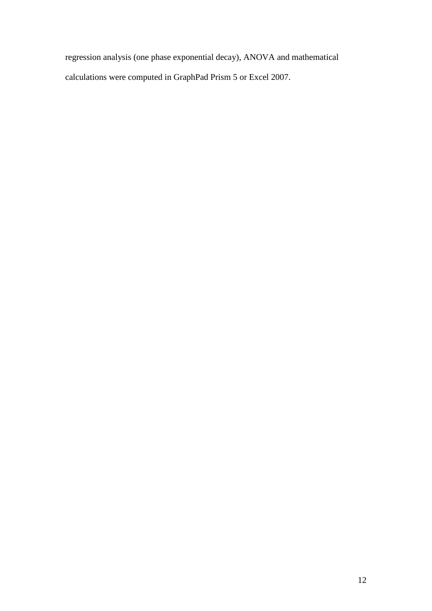regression analysis (one phase exponential decay), ANOVA and mathematical calculations were computed in GraphPad Prism 5 or Excel 2007.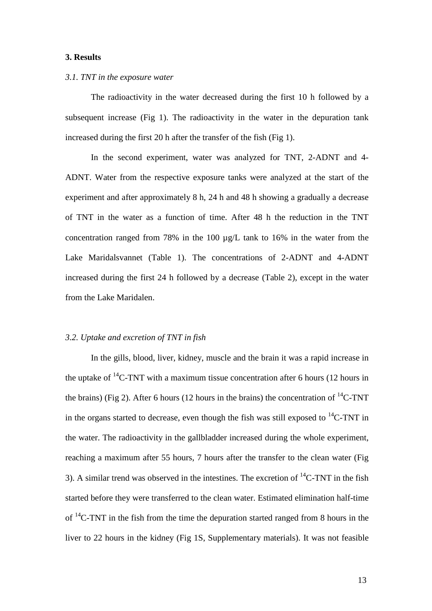### **3. Results**

### *3.1. TNT in the exposure water*

The radioactivity in the water decreased during the first 10 h followed by a subsequent increase (Fig 1). The radioactivity in the water in the depuration tank increased during the first 20 h after the transfer of the fish (Fig 1).

In the second experiment, water was analyzed for TNT, 2-ADNT and 4- ADNT. Water from the respective exposure tanks were analyzed at the start of the experiment and after approximately 8 h, 24 h and 48 h showing a gradually a decrease of TNT in the water as a function of time. After 48 h the reduction in the TNT concentration ranged from 78% in the 100 µg/L tank to 16% in the water from the Lake Maridalsvannet (Table 1). The concentrations of 2-ADNT and 4-ADNT increased during the first 24 h followed by a decrease (Table 2), except in the water from the Lake Maridalen.

## *3.2. Uptake and excretion of TNT in fish*

In the gills, blood, liver, kidney, muscle and the brain it was a rapid increase in the uptake of  $^{14}$ C-TNT with a maximum tissue concentration after 6 hours (12 hours in the brains) (Fig 2). After 6 hours (12 hours in the brains) the concentration of  ${}^{14}C$ -TNT in the organs started to decrease, even though the fish was still exposed to  ${}^{14}C$ -TNT in the water. The radioactivity in the gallbladder increased during the whole experiment, reaching a maximum after 55 hours, 7 hours after the transfer to the clean water (Fig 3). A similar trend was observed in the intestines. The excretion of  ${}^{14}C$ -TNT in the fish started before they were transferred to the clean water. Estimated elimination half-time of  $^{14}$ C-TNT in the fish from the time the depuration started ranged from 8 hours in the liver to 22 hours in the kidney (Fig 1S, Supplementary materials). It was not feasible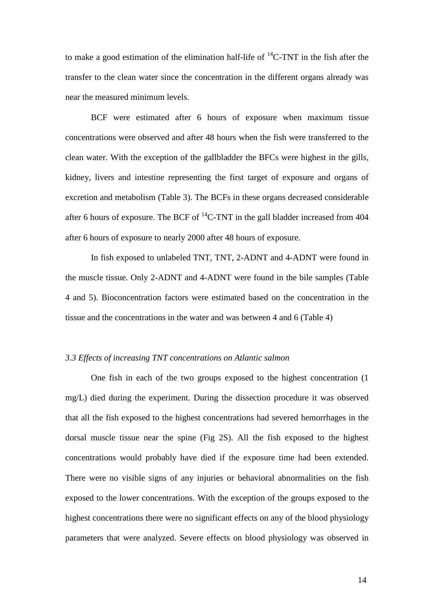to make a good estimation of the elimination half-life of  ${}^{14}C$ -TNT in the fish after the transfer to the clean water since the concentration in the different organs already was near the measured minimum levels.

BCF were estimated after 6 hours of exposure when maximum tissue concentrations were observed and after 48 hours when the fish were transferred to the clean water. With the exception of the gallbladder the BFCs were highest in the gills, kidney, livers and intestine representing the first target of exposure and organs of excretion and metabolism (Table 3). The BCFs in these organs decreased considerable after 6 hours of exposure. The BCF of  ${}^{14}$ C-TNT in the gall bladder increased from 404 after 6 hours of exposure to nearly 2000 after 48 hours of exposure.

In fish exposed to unlabeled TNT, TNT, 2-ADNT and 4-ADNT were found in the muscle tissue. Only 2-ADNT and 4-ADNT were found in the bile samples (Table 4 and 5). Bioconcentration factors were estimated based on the concentration in the tissue and the concentrations in the water and was between 4 and 6 (Table 4)

## *3.3 Effects of increasing TNT concentrations on Atlantic salmon*

One fish in each of the two groups exposed to the highest concentration (1 mg/L) died during the experiment. During the dissection procedure it was observed that all the fish exposed to the highest concentrations had severed hemorrhages in the dorsal muscle tissue near the spine (Fig 2S). All the fish exposed to the highest concentrations would probably have died if the exposure time had been extended. There were no visible signs of any injuries or behavioral abnormalities on the fish exposed to the lower concentrations. With the exception of the groups exposed to the highest concentrations there were no significant effects on any of the blood physiology parameters that were analyzed. Severe effects on blood physiology was observed in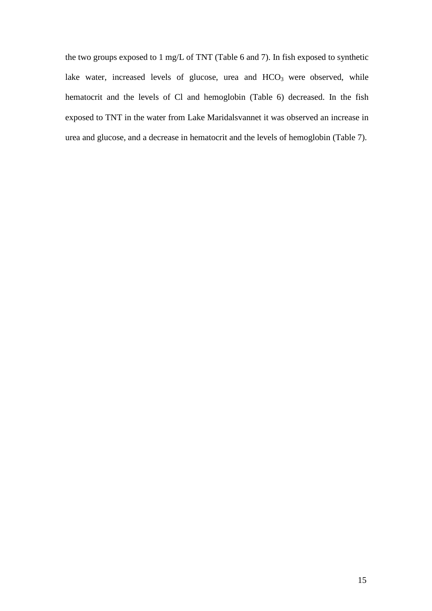the two groups exposed to 1 mg/L of TNT (Table 6 and 7). In fish exposed to synthetic lake water, increased levels of glucose, urea and HCO<sub>3</sub> were observed, while hematocrit and the levels of Cl and hemoglobin (Table 6) decreased. In the fish exposed to TNT in the water from Lake Maridalsvannet it was observed an increase in urea and glucose, and a decrease in hematocrit and the levels of hemoglobin (Table 7).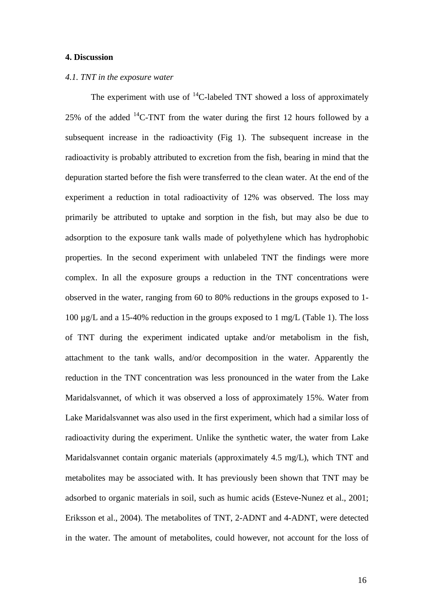## **4. Discussion**

### *4.1. TNT in the exposure water*

The experiment with use of  ${}^{14}C$ -labeled TNT showed a loss of approximately 25% of the added  $^{14}$ C-TNT from the water during the first 12 hours followed by a subsequent increase in the radioactivity (Fig 1). The subsequent increase in the radioactivity is probably attributed to excretion from the fish, bearing in mind that the depuration started before the fish were transferred to the clean water. At the end of the experiment a reduction in total radioactivity of 12% was observed. The loss may primarily be attributed to uptake and sorption in the fish, but may also be due to adsorption to the exposure tank walls made of polyethylene which has hydrophobic properties. In the second experiment with unlabeled TNT the findings were more complex. In all the exposure groups a reduction in the TNT concentrations were observed in the water, ranging from 60 to 80% reductions in the groups exposed to 1- 100 µg/L and a 15-40% reduction in the groups exposed to 1 mg/L (Table 1). The loss of TNT during the experiment indicated uptake and/or metabolism in the fish, attachment to the tank walls, and/or decomposition in the water. Apparently the reduction in the TNT concentration was less pronounced in the water from the Lake Maridalsvannet, of which it was observed a loss of approximately 15%. Water from Lake Maridalsvannet was also used in the first experiment, which had a similar loss of radioactivity during the experiment. Unlike the synthetic water, the water from Lake Maridalsvannet contain organic materials (approximately 4.5 mg/L), which TNT and metabolites may be associated with. It has previously been shown that TNT may be adsorbed to organic materials in soil, such as humic acids (Esteve-Nunez et al., 2001; Eriksson et al., 2004). The metabolites of TNT, 2-ADNT and 4-ADNT, were detected in the water. The amount of metabolites, could however, not account for the loss of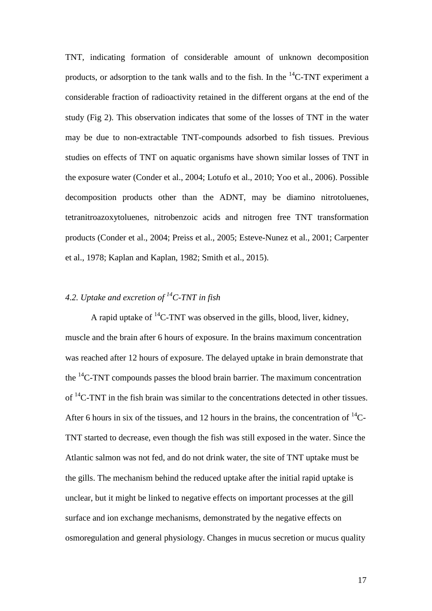TNT, indicating formation of considerable amount of unknown decomposition products, or adsorption to the tank walls and to the fish. In the  $^{14}$ C-TNT experiment a considerable fraction of radioactivity retained in the different organs at the end of the study (Fig 2). This observation indicates that some of the losses of TNT in the water may be due to non-extractable TNT-compounds adsorbed to fish tissues. Previous studies on effects of TNT on aquatic organisms have shown similar losses of TNT in the exposure water (Conder et al., 2004; Lotufo et al., 2010; Yoo et al., 2006). Possible decomposition products other than the ADNT, may be diamino nitrotoluenes, tetranitroazoxytoluenes, nitrobenzoic acids and nitrogen free TNT transformation products (Conder et al., 2004; Preiss et al., 2005; Esteve-Nunez et al., 2001; Carpenter et al., 1978; Kaplan and Kaplan, 1982; Smith et al., 2015).

# *4.2. Uptake and excretion of 14C-TNT in fish*

A rapid uptake of  ${}^{14}C$ -TNT was observed in the gills, blood, liver, kidney, muscle and the brain after 6 hours of exposure. In the brains maximum concentration was reached after 12 hours of exposure. The delayed uptake in brain demonstrate that the  $^{14}$ C-TNT compounds passes the blood brain barrier. The maximum concentration of  ${}^{14}$ C-TNT in the fish brain was similar to the concentrations detected in other tissues. After 6 hours in six of the tissues, and 12 hours in the brains, the concentration of  $^{14}$ C-TNT started to decrease, even though the fish was still exposed in the water. Since the Atlantic salmon was not fed, and do not drink water, the site of TNT uptake must be the gills. The mechanism behind the reduced uptake after the initial rapid uptake is unclear, but it might be linked to negative effects on important processes at the gill surface and ion exchange mechanisms, demonstrated by the negative effects on osmoregulation and general physiology. Changes in mucus secretion or mucus quality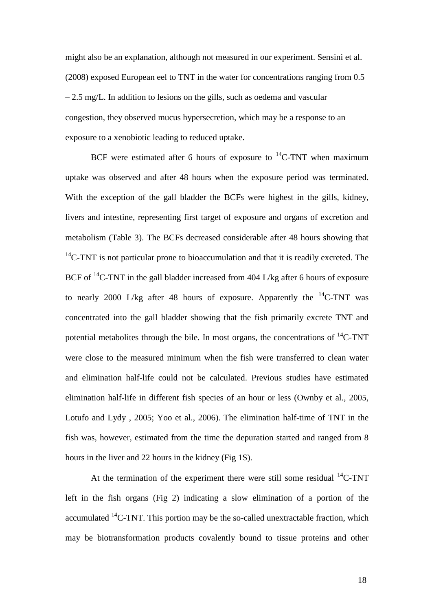might also be an explanation, although not measured in our experiment. Sensini et al. (2008) exposed European eel to TNT in the water for concentrations ranging from 0.5 – 2.5 mg/L. In addition to lesions on the gills, such as oedema and vascular congestion, they observed mucus hypersecretion, which may be a response to an exposure to a xenobiotic leading to reduced uptake.

BCF were estimated after 6 hours of exposure to  ${}^{14}$ C-TNT when maximum uptake was observed and after 48 hours when the exposure period was terminated. With the exception of the gall bladder the BCFs were highest in the gills, kidney, livers and intestine, representing first target of exposure and organs of excretion and metabolism (Table 3). The BCFs decreased considerable after 48 hours showing that  $14$ C-TNT is not particular prone to bioaccumulation and that it is readily excreted. The BCF of  $^{14}$ C-TNT in the gall bladder increased from 404 L/kg after 6 hours of exposure to nearly 2000 L/kg after 48 hours of exposure. Apparently the  $^{14}$ C-TNT was concentrated into the gall bladder showing that the fish primarily excrete TNT and potential metabolites through the bile. In most organs, the concentrations of  ${}^{14}C$ -TNT were close to the measured minimum when the fish were transferred to clean water and elimination half-life could not be calculated. Previous studies have estimated elimination half-life in different fish species of an hour or less (Ownby et al., 2005, Lotufo and Lydy , 2005; Yoo et al., 2006). The elimination half-time of TNT in the fish was, however, estimated from the time the depuration started and ranged from 8 hours in the liver and 22 hours in the kidney (Fig 1S).

At the termination of the experiment there were still some residual  $^{14}$ C-TNT left in the fish organs (Fig 2) indicating a slow elimination of a portion of the accumulated  ${}^{14}C$ -TNT. This portion may be the so-called unextractable fraction, which may be biotransformation products covalently bound to tissue proteins and other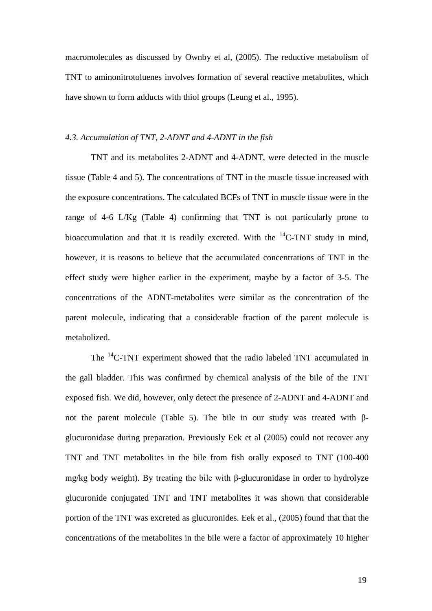macromolecules as discussed by Ownby et al, (2005). The reductive metabolism of TNT to aminonitrotoluenes involves formation of several reactive metabolites, which have shown to form adducts with thiol groups (Leung et al., 1995).

## *4.3. Accumulation of TNT, 2-ADNT and 4-ADNT in the fish*

TNT and its metabolites 2-ADNT and 4-ADNT, were detected in the muscle tissue (Table 4 and 5). The concentrations of TNT in the muscle tissue increased with the exposure concentrations. The calculated BCFs of TNT in muscle tissue were in the range of 4-6 L/Kg (Table 4) confirming that TNT is not particularly prone to bioaccumulation and that it is readily excreted. With the  $^{14}$ C-TNT study in mind, however, it is reasons to believe that the accumulated concentrations of TNT in the effect study were higher earlier in the experiment, maybe by a factor of 3-5. The concentrations of the ADNT-metabolites were similar as the concentration of the parent molecule, indicating that a considerable fraction of the parent molecule is metabolized.

The <sup>14</sup>C-TNT experiment showed that the radio labeled TNT accumulated in the gall bladder. This was confirmed by chemical analysis of the bile of the TNT exposed fish. We did, however, only detect the presence of 2-ADNT and 4-ADNT and not the parent molecule (Table 5). The bile in our study was treated with βglucuronidase during preparation. Previously Eek et al (2005) could not recover any TNT and TNT metabolites in the bile from fish orally exposed to TNT (100-400 mg/kg body weight). By treating the bile with β-glucuronidase in order to hydrolyze glucuronide conjugated TNT and TNT metabolites it was shown that considerable portion of the TNT was excreted as glucuronides. Eek et al., (2005) found that that the concentrations of the metabolites in the bile were a factor of approximately 10 higher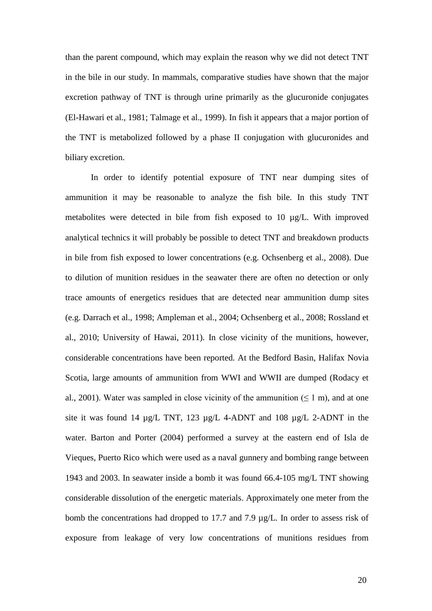than the parent compound, which may explain the reason why we did not detect TNT in the bile in our study. In mammals, comparative studies have shown that the major excretion pathway of TNT is through urine primarily as the glucuronide conjugates (El-Hawari et al., 1981; Talmage et al., 1999). In fish it appears that a major portion of the TNT is metabolized followed by a phase II conjugation with glucuronides and biliary excretion.

In order to identify potential exposure of TNT near dumping sites of ammunition it may be reasonable to analyze the fish bile. In this study TNT metabolites were detected in bile from fish exposed to 10 µg/L. With improved analytical technics it will probably be possible to detect TNT and breakdown products in bile from fish exposed to lower concentrations (e.g. Ochsenberg et al., 2008). Due to dilution of munition residues in the seawater there are often no detection or only trace amounts of energetics residues that are detected near ammunition dump sites (e.g. Darrach et al., 1998; Ampleman et al., 2004; Ochsenberg et al., 2008; Rossland et al., 2010; University of Hawai, 2011). In close vicinity of the munitions, however, considerable concentrations have been reported. At the Bedford Basin, Halifax Novia Scotia, large amounts of ammunition from WWI and WWII are dumped (Rodacy et al., 2001). Water was sampled in close vicinity of the ammunition  $(\leq 1 \text{ m})$ , and at one site it was found 14 µg/L TNT, 123 µg/L 4-ADNT and 108 µg/L 2-ADNT in the water. Barton and Porter (2004) performed a survey at the eastern end of Isla de Vieques, Puerto Rico which were used as a naval gunnery and bombing range between 1943 and 2003. In seawater inside a bomb it was found 66.4-105 mg/L TNT showing considerable dissolution of the energetic materials. Approximately one meter from the bomb the concentrations had dropped to 17.7 and 7.9 µg/L. In order to assess risk of exposure from leakage of very low concentrations of munitions residues from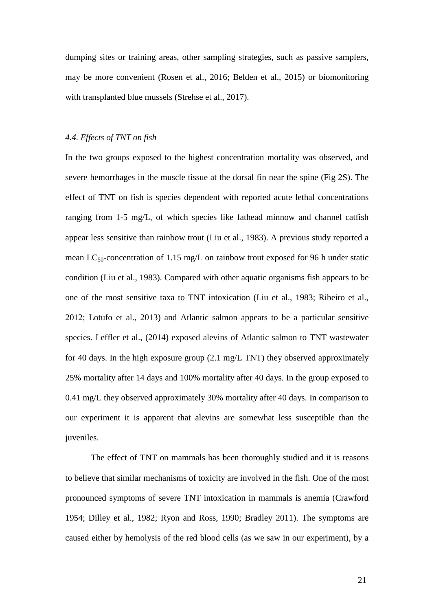dumping sites or training areas, other sampling strategies, such as passive samplers, may be more convenient (Rosen et al., 2016; Belden et al., 2015) or biomonitoring with transplanted blue mussels (Strehse et al., 2017).

## *4.4. Effects of TNT on fish*

In the two groups exposed to the highest concentration mortality was observed, and severe hemorrhages in the muscle tissue at the dorsal fin near the spine (Fig 2S). The effect of TNT on fish is species dependent with reported acute lethal concentrations ranging from 1-5 mg/L, of which species like fathead minnow and channel catfish appear less sensitive than rainbow trout (Liu et al., 1983). A previous study reported a mean  $LC_{50}$ -concentration of 1.15 mg/L on rainbow trout exposed for 96 h under static condition (Liu et al., 1983). Compared with other aquatic organisms fish appears to be one of the most sensitive taxa to TNT intoxication (Liu et al., 1983; Ribeiro et al., 2012; Lotufo et al., 2013) and Atlantic salmon appears to be a particular sensitive species. Leffler et al., (2014) exposed alevins of Atlantic salmon to TNT wastewater for 40 days. In the high exposure group (2.1 mg/L TNT) they observed approximately 25% mortality after 14 days and 100% mortality after 40 days. In the group exposed to 0.41 mg/L they observed approximately 30% mortality after 40 days. In comparison to our experiment it is apparent that alevins are somewhat less susceptible than the juveniles.

The effect of TNT on mammals has been thoroughly studied and it is reasons to believe that similar mechanisms of toxicity are involved in the fish. One of the most pronounced symptoms of severe TNT intoxication in mammals is anemia (Crawford 1954; Dilley et al., 1982; Ryon and Ross, 1990; Bradley 2011). The symptoms are caused either by hemolysis of the red blood cells (as we saw in our experiment), by a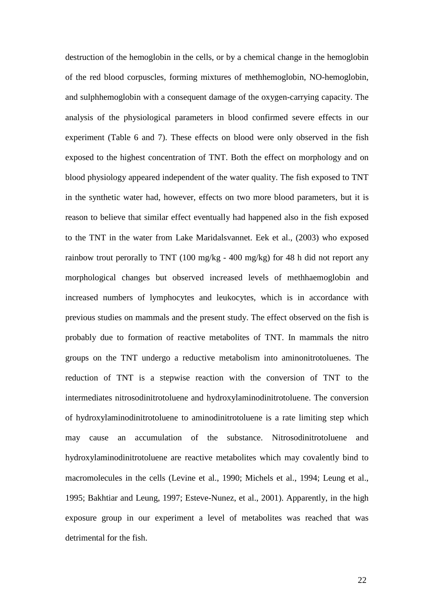destruction of the hemoglobin in the cells, or by a chemical change in the hemoglobin of the red blood corpuscles, forming mixtures of methhemoglobin, NO-hemoglobin, and sulphhemoglobin with a consequent damage of the oxygen-carrying capacity. The analysis of the physiological parameters in blood confirmed severe effects in our experiment (Table 6 and 7). These effects on blood were only observed in the fish exposed to the highest concentration of TNT. Both the effect on morphology and on blood physiology appeared independent of the water quality. The fish exposed to TNT in the synthetic water had, however, effects on two more blood parameters, but it is reason to believe that similar effect eventually had happened also in the fish exposed to the TNT in the water from Lake Maridalsvannet. Eek et al., (2003) who exposed rainbow trout perorally to TNT (100 mg/kg - 400 mg/kg) for 48 h did not report any morphological changes but observed increased levels of methhaemoglobin and increased numbers of lymphocytes and leukocytes, which is in accordance with previous studies on mammals and the present study. The effect observed on the fish is probably due to formation of reactive metabolites of TNT. In mammals the nitro groups on the TNT undergo a reductive metabolism into aminonitrotoluenes. The reduction of TNT is a stepwise reaction with the conversion of TNT to the intermediates nitrosodinitrotoluene and hydroxylaminodinitrotoluene. The conversion of hydroxylaminodinitrotoluene to aminodinitrotoluene is a rate limiting step which may cause an accumulation of the substance. Nitrosodinitrotoluene and hydroxylaminodinitrotoluene are reactive metabolites which may covalently bind to macromolecules in the cells (Levine et al., 1990; Michels et al., 1994; Leung et al., 1995; Bakhtiar and Leung, 1997; Esteve-Nunez, et al., 2001). Apparently, in the high exposure group in our experiment a level of metabolites was reached that was detrimental for the fish.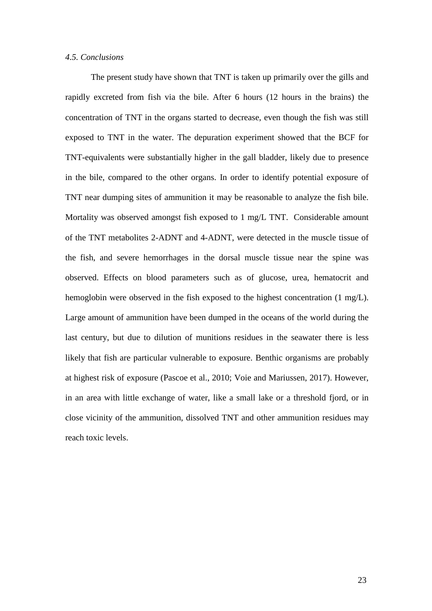#### *4.5. Conclusions*

The present study have shown that TNT is taken up primarily over the gills and rapidly excreted from fish via the bile. After 6 hours (12 hours in the brains) the concentration of TNT in the organs started to decrease, even though the fish was still exposed to TNT in the water. The depuration experiment showed that the BCF for TNT-equivalents were substantially higher in the gall bladder, likely due to presence in the bile, compared to the other organs. In order to identify potential exposure of TNT near dumping sites of ammunition it may be reasonable to analyze the fish bile. Mortality was observed amongst fish exposed to 1 mg/L TNT. Considerable amount of the TNT metabolites 2-ADNT and 4-ADNT, were detected in the muscle tissue of the fish, and severe hemorrhages in the dorsal muscle tissue near the spine was observed. Effects on blood parameters such as of glucose, urea, hematocrit and hemoglobin were observed in the fish exposed to the highest concentration (1 mg/L). Large amount of ammunition have been dumped in the oceans of the world during the last century, but due to dilution of munitions residues in the seawater there is less likely that fish are particular vulnerable to exposure. Benthic organisms are probably at highest risk of exposure (Pascoe et al., 2010; Voie and Mariussen, 2017). However, in an area with little exchange of water, like a small lake or a threshold fjord, or in close vicinity of the ammunition, dissolved TNT and other ammunition residues may reach toxic levels.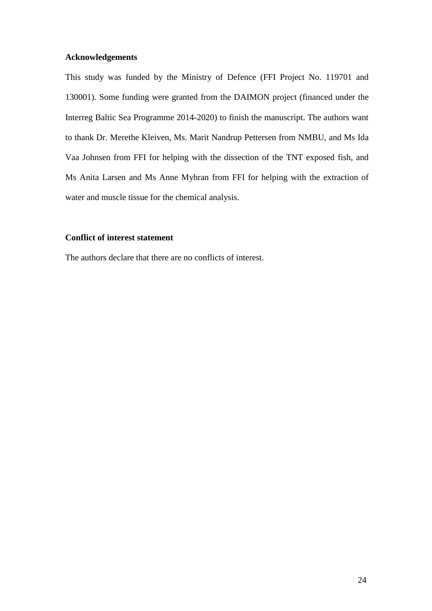## **Acknowledgements**

This study was funded by the Ministry of Defence (FFI Project No. 119701 and 130001). Some funding were granted from the DAIMON project (financed under the Interreg Baltic Sea Programme 2014-2020) to finish the manuscript. The authors want to thank Dr. Merethe Kleiven, Ms. Marit Nandrup Pettersen from NMBU, and Ms Ida Vaa Johnsen from FFI for helping with the dissection of the TNT exposed fish, and Ms Anita Larsen and Ms Anne Myhran from FFI for helping with the extraction of water and muscle tissue for the chemical analysis.

# **Conflict of interest statement**

The authors declare that there are no conflicts of interest.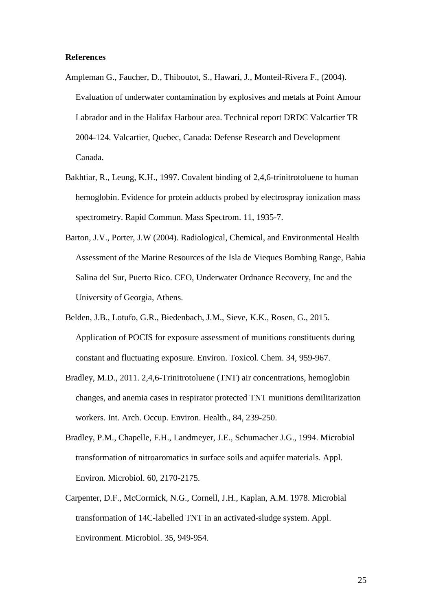### **References**

- Ampleman G., Faucher, D., Thiboutot, S., Hawari, J., Monteil-Rivera F., (2004). Evaluation of underwater contamination by explosives and metals at Point Amour Labrador and in the Halifax Harbour area. Technical report DRDC Valcartier TR 2004-124. Valcartier, Quebec, Canada: Defense Research and Development Canada.
- Bakhtiar, R., Leung, K.H., 1997. Covalent binding of 2,4,6-trinitrotoluene to human hemoglobin. Evidence for protein adducts probed by electrospray ionization mass spectrometry. Rapid Commun. Mass Spectrom. 11, 1935-7.
- Barton, J.V., Porter, J.W (2004). Radiological, Chemical, and Environmental Health Assessment of the Marine Resources of the Isla de Vieques Bombing Range, Bahia Salina del Sur, Puerto Rico. CEO, Underwater Ordnance Recovery, Inc and the University of Georgia, Athens.
- Belden, J.B., Lotufo, G.R., Biedenbach, J.M., Sieve, K.K., Rosen, G., 2015. Application of POCIS for exposure assessment of munitions constituents during constant and fluctuating exposure. Environ. Toxicol. Chem. 34, 959-967.
- Bradley, M.D., 2011. 2,4,6-Trinitrotoluene (TNT) air concentrations, hemoglobin changes, and anemia cases in respirator protected TNT munitions demilitarization workers. Int. Arch. Occup. Environ. Health., 84, 239-250.
- Bradley, P.M., Chapelle, F.H., Landmeyer, J.E., Schumacher J.G., 1994. Microbial transformation of nitroaromatics in surface soils and aquifer materials. Appl. Environ. Microbiol. 60, 2170-2175.
- Carpenter, D.F., McCormick, N.G., Cornell, J.H., Kaplan, A.M. 1978. Microbial transformation of 14C-labelled TNT in an activated-sludge system. Appl. Environment. Microbiol. 35, 949-954.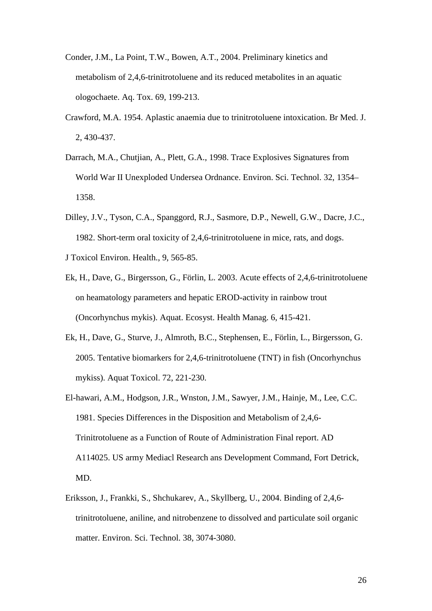- Conder, J.M., La Point, T.W., Bowen, A.T., 2004. Preliminary kinetics and metabolism of 2,4,6-trinitrotoluene and its reduced metabolites in an aquatic ologochaete. Aq. Tox. 69, 199-213.
- Crawford, M.A. 1954. Aplastic anaemia due to trinitrotoluene intoxication. Br Med. J. 2, 430-437.
- Darrach, M.A., Chutjian, A., Plett, G.A., 1998. Trace Explosives Signatures from World War II Unexploded Undersea Ordnance. Environ. Sci. Technol. 32, 1354– 1358.
- Dilley, J.V., Tyson, C.A., Spanggord, R.J., Sasmore, D.P., Newell, G.W., Dacre, J.C., 1982. Short-term oral toxicity of 2,4,6-trinitrotoluene in mice, rats, and dogs.
- J Toxicol Environ. Health., 9, 565-85.
- Ek, H., Dave, G., Birgersson, G., Förlin, L. 2003. Acute effects of 2,4,6-trinitrotoluene on heamatology parameters and hepatic EROD-activity in rainbow trout (Oncorhynchus mykis). Aquat. Ecosyst. Health Manag. 6, 415-421.
- Ek, H., Dave, G., Sturve, J., Almroth, B.C., Stephensen, E., Förlin, L., Birgersson, G. 2005. Tentative biomarkers for 2,4,6-trinitrotoluene (TNT) in fish (Oncorhynchus mykiss). Aquat Toxicol. 72, 221-230.
- El-hawari, A.M., Hodgson, J.R., Wnston, J.M., Sawyer, J.M., Hainje, M., Lee, C.C. 1981. Species Differences in the Disposition and Metabolism of 2,4,6- Trinitrotoluene as a Function of Route of Administration Final report. AD A114025. US army Mediacl Research ans Development Command, Fort Detrick, MD.
- Eriksson, J., Frankki, S., Shchukarev, A., Skyllberg, U., 2004. Binding of 2,4,6 trinitrotoluene, aniline, and nitrobenzene to dissolved and particulate soil organic matter. Environ. Sci. Technol. 38, 3074-3080.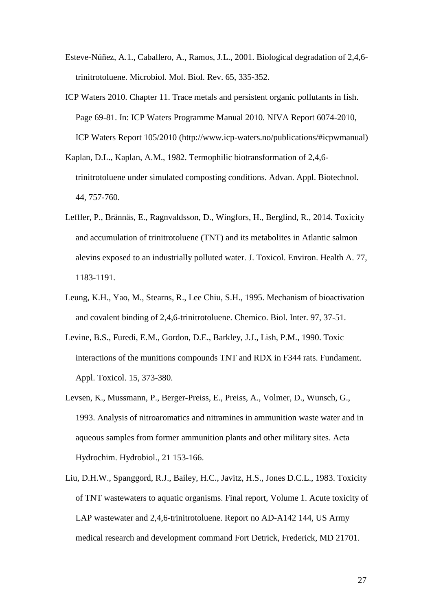- Esteve-Núñez, A.1., Caballero, A., Ramos, J.L., 2001. Biological degradation of 2,4,6 trinitrotoluene. Microbiol. Mol. Biol. Rev. 65, 335-352.
- ICP Waters 2010. Chapter 11. Trace metals and persistent organic pollutants in fish. Page 69-81. In: ICP Waters Programme Manual 2010. NIVA Report 6074-2010, ICP Waters Report 105/2010 [\(http://www.icp-waters.no/publications/#icpwmanual\)](http://www.icp-waters.no/publications/#icpwmanual)
- Kaplan, D.L., Kaplan, A.M., 1982. Termophilic biotransformation of 2,4,6 trinitrotoluene under simulated composting conditions. Advan. Appl. Biotechnol. 44, 757-760.
- Leffler, P., Brännäs, E., Ragnvaldsson, D., Wingfors, H., Berglind, R., 2014. Toxicity and accumulation of trinitrotoluene (TNT) and its metabolites in Atlantic salmon alevins exposed to an industrially polluted water. J. Toxicol. Environ. Health A. 77, 1183-1191.
- Leung, K.H., Yao, M., Stearns, R., Lee Chiu, S.H., 1995. Mechanism of bioactivation and covalent binding of 2,4,6-trinitrotoluene. Chemico. Biol. Inter. 97, 37-51.
- Levine, B.S., Furedi, E.M., Gordon, D.E., Barkley, J.J., Lish, P.M., 1990. Toxic interactions of the munitions compounds TNT and RDX in F344 rats. Fundament. Appl. Toxicol. 15, 373-380.
- Levsen, K., Mussmann, P., Berger-Preiss, E., Preiss, A., Volmer, D., Wunsch, G., 1993. Analysis of nitroaromatics and nitramines in ammunition waste water and in aqueous samples from former ammunition plants and other military sites. Acta Hydrochim. Hydrobiol., 21 153-166.
- Liu, D.H.W., Spanggord, R.J., Bailey, H.C., Javitz, H.S., Jones D.C.L., 1983. Toxicity of TNT wastewaters to aquatic organisms. Final report, Volume 1. Acute toxicity of LAP wastewater and 2,4,6-trinitrotoluene. Report no AD-A142 144, US Army medical research and development command Fort Detrick, Frederick, MD 21701.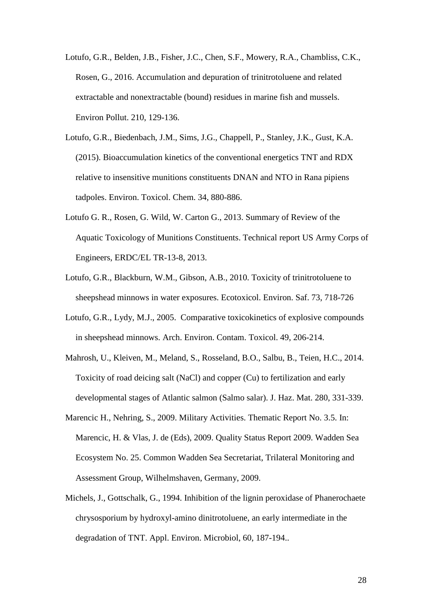- Lotufo, G.R., Belden, J.B., Fisher, J.C., Chen, S.F., Mowery, R.A., Chambliss, C.K., Rosen, G., 2016. Accumulation and depuration of trinitrotoluene and related extractable and nonextractable (bound) residues in marine fish and mussels. Environ Pollut. 210, 129-136.
- Lotufo, G.R., Biedenbach, J.M., Sims, J.G., Chappell, P., Stanley, J.K., Gust, K.A. (2015). Bioaccumulation kinetics of the conventional energetics TNT and RDX relative to insensitive munitions constituents DNAN and NTO in Rana pipiens tadpoles. Environ. Toxicol. Chem. 34, 880-886.
- Lotufo G. R., Rosen, G. Wild, W. Carton G., 2013. Summary of Review of the Aquatic Toxicology of Munitions Constituents. Technical report US Army Corps of Engineers, ERDC/EL TR-13-8, 2013.
- Lotufo, G.R., Blackburn, W.M., Gibson, A.B., 2010. Toxicity of trinitrotoluene to sheepshead minnows in water exposures. Ecotoxicol. Environ. Saf. 73, 718-726
- Lotufo, G.R., Lydy, M.J., 2005. Comparative toxicokinetics of explosive compounds in sheepshead minnows. Arch. Environ. Contam. Toxicol. 49, 206-214.
- Mahrosh, U., Kleiven, M., Meland, S., Rosseland, B.O., Salbu, B., Teien, H.C., 2014. Toxicity of road deicing salt (NaCl) and copper (Cu) to fertilization and early developmental stages of Atlantic salmon (Salmo salar). J. Haz. Mat. 280, 331-339.
- Marencic H., Nehring, S., 2009. Military Activities. Thematic Report No. 3.5. In: Marencic, H. & Vlas, J. de (Eds), 2009. Quality Status Report 2009. Wadden Sea Ecosystem No. 25. Common Wadden Sea Secretariat, Trilateral Monitoring and Assessment Group, Wilhelmshaven, Germany, 2009.
- Michels, J., Gottschalk, G., 1994. Inhibition of the lignin peroxidase of Phanerochaete chrysosporium by hydroxyl-amino dinitrotoluene, an early intermediate in the degradation of TNT. Appl. Environ. Microbiol, 60, 187-194..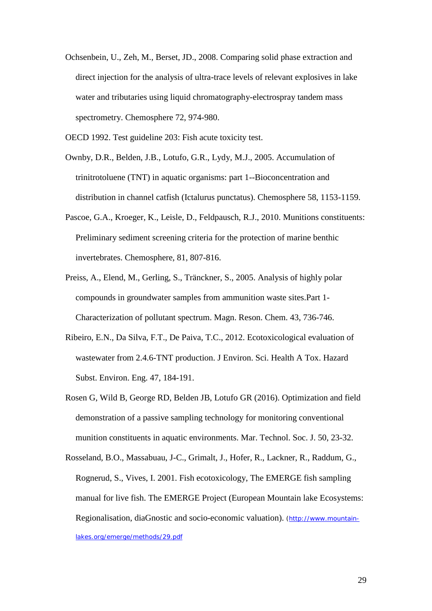Ochsenbein, U., Zeh, M., Berset, JD., 2008. Comparing solid phase extraction and direct injection for the analysis of ultra-trace levels of relevant explosives in lake water and tributaries using liquid chromatography-electrospray tandem mass spectrometry. Chemosphere 72, 974-980.

OECD 1992. Test guideline 203: Fish acute toxicity test.

- Ownby, D.R., Belden, J.B., Lotufo, G.R., Lydy, M.J., 2005. Accumulation of trinitrotoluene (TNT) in aquatic organisms: part 1--Bioconcentration and distribution in channel catfish (Ictalurus punctatus). Chemosphere 58, 1153-1159.
- Pascoe, G.A., Kroeger, K., Leisle, D., Feldpausch, R.J., 2010. Munitions constituents: Preliminary sediment screening criteria for the protection of marine benthic invertebrates. Chemosphere, 81, 807-816.
- Preiss, A., Elend, M., Gerling, S., Tränckner, S., 2005. Analysis of highly polar compounds in groundwater samples from ammunition waste sites.Part 1- Characterization of pollutant spectrum. Magn. Reson. Chem. 43, 736-746.
- Ribeiro, E.N., Da Silva, F.T., De Paiva, T.C., 2012. Ecotoxicological evaluation of wastewater from 2.4.6-TNT production. J Environ. Sci. Health A Tox. Hazard Subst. Environ. Eng. 47, 184-191.
- Rosen G, Wild B, George RD, Belden JB, Lotufo GR (2016). Optimization and field demonstration of a passive sampling technology for monitoring conventional munition constituents in aquatic environments. Mar. Technol. Soc. J. 50, 23-32.
- Rosseland, B.O., Massabuau, J-C., Grimalt, J., Hofer, R., Lackner, R., Raddum, G., Rognerud, S., Vives, I. 2001. Fish ecotoxicology, The EMERGE fish sampling manual for live fish. The EMERGE Project (European Mountain lake Ecosystems: Regionalisation, diaGnostic and socio-economic valuation). [\(http://www.mountain](http://www.mountain-lakes.org/emerge/methods/29.pdf)[lakes.org/emerge/methods/29.pdf](http://www.mountain-lakes.org/emerge/methods/29.pdf)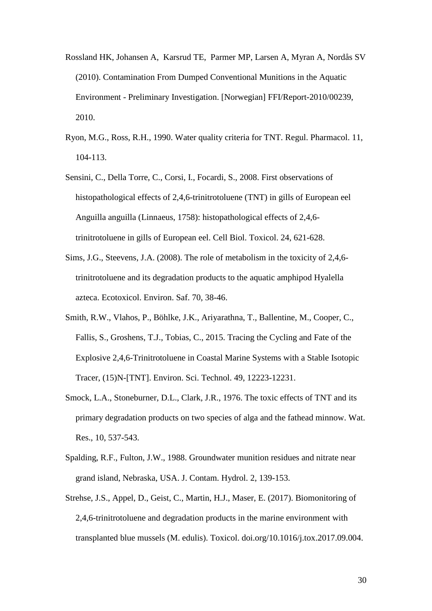- Rossland HK, Johansen A, Karsrud TE, Parmer MP, Larsen A, Myran A, Nordås SV (2010). Contamination From Dumped Conventional Munitions in the Aquatic Environment - Preliminary Investigation. [Norwegian] FFI/Report-2010/00239, 2010.
- Ryon, M.G., Ross, R.H., 1990. Water quality criteria for TNT. Regul. Pharmacol. 11, 104-113.
- Sensini, C., Della Torre, C., Corsi, I., Focardi, S., 2008. First observations of histopathological effects of 2,4,6-trinitrotoluene (TNT) in gills of European eel Anguilla anguilla (Linnaeus, 1758): histopathological effects of 2,4,6 trinitrotoluene in gills of European eel. Cell Biol. Toxicol. 24, 621-628.
- Sims, J.G., Steevens, J.A. (2008). The role of metabolism in the toxicity of 2,4,6 trinitrotoluene and its degradation products to the aquatic amphipod Hyalella azteca. Ecotoxicol. Environ. Saf. 70, 38-46.
- Smith, R.W., Vlahos, P., Böhlke, J.K., Ariyarathna, T., Ballentine, M., Cooper, C., Fallis, S., Groshens, T.J., Tobias, C., 2015. Tracing the Cycling and Fate of the Explosive 2,4,6-Trinitrotoluene in Coastal Marine Systems with a Stable Isotopic Tracer, (15)N-[TNT]. Environ. Sci. Technol. 49, 12223-12231.
- Smock, L.A., Stoneburner, D.L., Clark, J.R., 1976. The toxic effects of TNT and its primary degradation products on two species of alga and the fathead minnow. Wat. Res., 10, 537-543.
- Spalding, R.F., Fulton, J.W., 1988. Groundwater munition residues and nitrate near grand island, Nebraska, USA. J. Contam. Hydrol. 2, 139-153.
- Strehse, J.S., Appel, D., Geist, C., Martin, H.J., Maser, E. (2017). Biomonitoring of 2,4,6-trinitrotoluene and degradation products in the marine environment with transplanted blue mussels (M. edulis). Toxicol. doi.org/10.1016/j.tox.2017.09.004.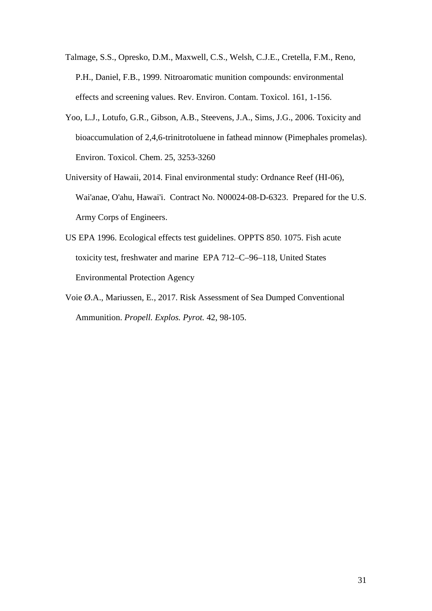- Talmage, S.S., Opresko, D.M., Maxwell, C.S., Welsh, C.J.E., Cretella, F.M., Reno, P.H., Daniel, F.B., 1999. Nitroaromatic munition compounds: environmental effects and screening values. Rev. Environ. Contam. Toxicol. 161, 1-156.
- Yoo, L.J., Lotufo, G.R., Gibson, A.B., Steevens, J.A., Sims, J.G., 2006. Toxicity and bioaccumulation of 2,4,6-trinitrotoluene in fathead minnow (Pimephales promelas). Environ. Toxicol. Chem. 25, 3253-3260
- University of Hawaii, 2014. Final environmental study: Ordnance Reef (HI-06), Wai'anae, O'ahu, Hawai'i. Contract No. N00024-08-D-6323. Prepared for the U.S. Army Corps of Engineers.
- US EPA 1996. Ecological effects test guidelines. OPPTS 850. 1075. Fish acute toxicity test, freshwater and marine EPA 712–C–96–118, United States Environmental Protection Agency
- Voie Ø.A., Mariussen, E., 2017. Risk Assessment of Sea Dumped Conventional Ammunition. *Propell. Explos. Pyrot.* 42, 98-105.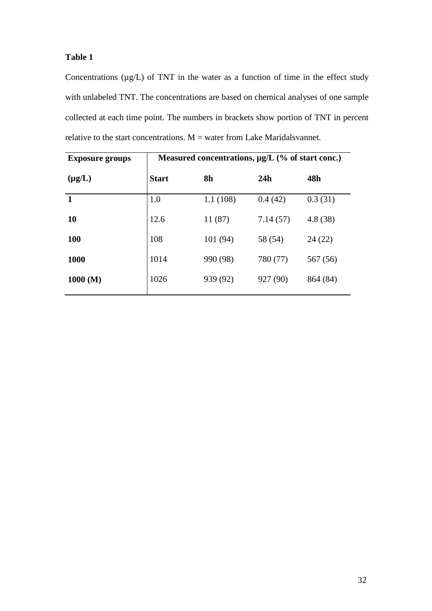Concentrations  $(\mu g/L)$  of TNT in the water as a function of time in the effect study with unlabeled TNT. The concentrations are based on chemical analyses of one sample collected at each time point. The numbers in brackets show portion of TNT in percent relative to the start concentrations.  $M =$  water from Lake Maridalsvannet.

| <b>Exposure groups</b> | Measured concentrations, $\mu$ g/L (% of start conc.) |          |          |          |  |  |
|------------------------|-------------------------------------------------------|----------|----------|----------|--|--|
| $(\mu g/L)$            | <b>Start</b>                                          | 8h       | 24h      | 48h      |  |  |
| $\mathbf{1}$           | 1.0                                                   | 1.1(108) | 0.4(42)  | 0.3(31)  |  |  |
| 10                     | 12.6                                                  | 11 (87)  | 7.14(57) | 4.8(38)  |  |  |
| <b>100</b>             | 108                                                   | 101 (94) | 58 (54)  | 24(22)   |  |  |
| 1000                   | 1014                                                  | 990 (98) | 780 (77) | 567 (56) |  |  |
| 1000 (M)               | 1026                                                  | 939 (92) | 927 (90) | 864 (84) |  |  |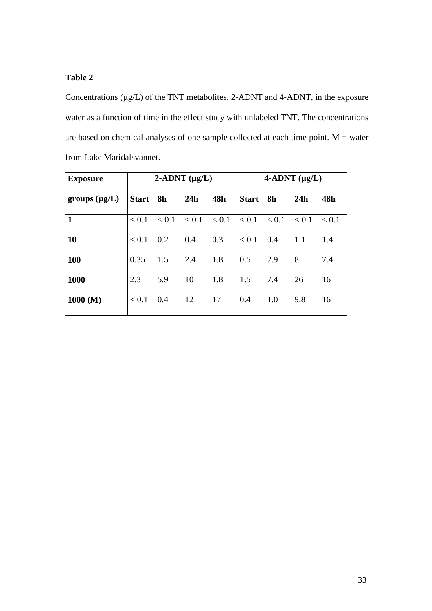Concentrations  $(\mu g/L)$  of the TNT metabolites, 2-ADNT and 4-ADNT, in the exposure water as a function of time in the effect study with unlabeled TNT. The concentrations are based on chemical analyses of one sample collected at each time point. M = water from Lake Maridalsvannet.

| <b>Exposure</b>    | $2$ -ADNT ( $\mu$ g/L) |                 |     | $4$ -ADNT ( $\mu$ g/L) |             |                         |     |       |
|--------------------|------------------------|-----------------|-----|------------------------|-------------|-------------------------|-----|-------|
| groups $(\mu g/L)$ | Start 8h               |                 | 24h | 48h                    | Start 8h    |                         | 24h | 48h   |
| $\mathbf{1}$       | < 0.1                  | $< 0.1$ $< 0.1$ |     | < 0.1                  |             | $< 0.1$ $< 0.1$ $< 0.1$ |     | < 0.1 |
| <b>10</b>          | < 0.1                  | 0.2             | 0.4 | 0.3                    | $< 0.1$ 0.4 |                         | 1.1 | 1.4   |
| <b>100</b>         | 0.35                   | 1.5             | 2.4 | 1.8                    | 0.5         | 2.9                     | 8   | 7.4   |
| 1000               | 2.3                    | 5.9             | 10  | 1.8                    | 1.5         | 7.4                     | 26  | 16    |
| 1000 (M)           | < 0.1                  | 0.4             | 12  | 17                     | 0.4         | 1.0                     | 9.8 | 16    |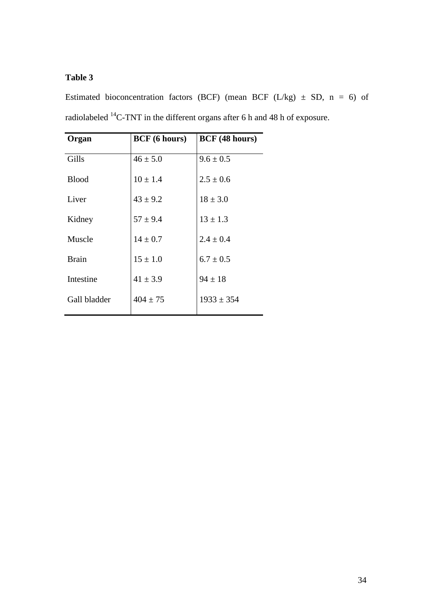Estimated bioconcentration factors (BCF) (mean BCF (L/kg)  $\pm$  SD, n = 6) of radiolabeled 14C-TNT in the different organs after 6 h and 48 h of exposure.

| Organ        | <b>BCF</b> (6 hours) | <b>BCF</b> (48 hours) |
|--------------|----------------------|-----------------------|
| Gills        | $46 \pm 5.0$         | $9.6 \pm 0.5$         |
| <b>Blood</b> | $10 \pm 1.4$         | $2.5 \pm 0.6$         |
| Liver        | $43 \pm 9.2$         | $18 \pm 3.0$          |
| Kidney       | $57 \pm 9.4$         | $13 \pm 1.3$          |
| Muscle       | $14 \pm 0.7$         | $2.4 \pm 0.4$         |
| <b>Brain</b> | $15 \pm 1.0$         | $6.7 \pm 0.5$         |
| Intestine    | $41 \pm 3.9$         | $94 \pm 18$           |
| Gall bladder | $404 \pm 75$         | $1933 \pm 354$        |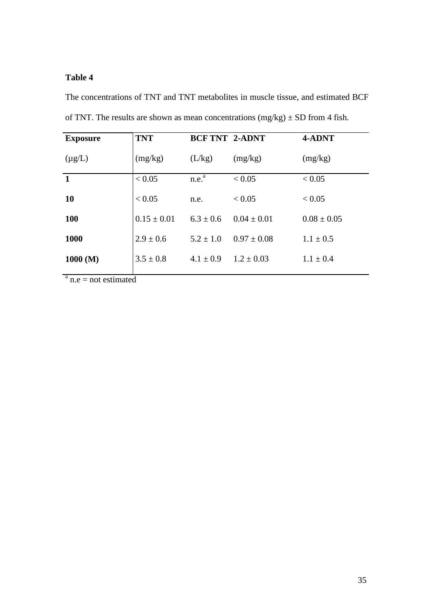The concentrations of TNT and TNT metabolites in muscle tissue, and estimated BCF of TNT. The results are shown as mean concentrations  $(mg/kg) \pm SD$  from 4 fish.

| <b>Exposure</b>      | <b>TNT</b>      | <b>BCF TNT 2-ADNT</b> |                 | 4-ADNT          |
|----------------------|-----------------|-----------------------|-----------------|-----------------|
| $(\mu g/L)$          | (mg/kg)         | (L/kg)                | (mg/kg)         | (mg/kg)         |
| $\mathbf{1}$         | < 0.05          | n.e. <sup>a</sup>     | < 0.05          | < 0.05          |
| <b>10</b>            | < 0.05          | n.e.                  | < 0.05          | < 0.05          |
| <b>100</b>           | $0.15 \pm 0.01$ | $6.3 \pm 0.6$         | $0.04 \pm 0.01$ | $0.08 \pm 0.05$ |
| 1000                 | $2.9 \pm 0.6$   | $5.2 \pm 1.0$         | $0.97 \pm 0.08$ | $1.1 \pm 0.5$   |
| 1000 (M)             | $3.5 \pm 0.8$   | $4.1 \pm 0.9$         | $1.2 \pm 0.03$  | $1.1 \pm 0.4$   |
| $a_{\text{max}} = 1$ |                 |                       |                 |                 |

 $n.e = not estimated$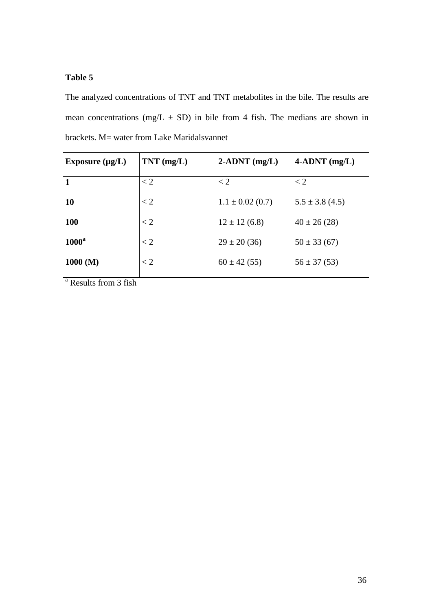The analyzed concentrations of TNT and TNT metabolites in the bile. The results are mean concentrations (mg/L  $\pm$  SD) in bile from 4 fish. The medians are shown in brackets. M= water from Lake Maridalsvannet

| Exposure $(\mu g/L)$  | $TNT$ (mg/L) | $2$ -ADNT (mg/L)     | $4$ -ADNT (mg/L)    |
|-----------------------|--------------|----------------------|---------------------|
| $\mathbf{1}$<br>< 2   |              | $\lt 2$              | $\lt 2$             |
| $\lt 2$<br><b>10</b>  |              | $1.1 \pm 0.02$ (0.7) | $5.5 \pm 3.8$ (4.5) |
| $\lt 2$<br><b>100</b> |              | $12 \pm 12$ (6.8)    | $40 \pm 26$ (28)    |
| $1000^a$<br>$\lt 2$   |              | $29 \pm 20(36)$      | $50 \pm 33(67)$     |
| $\lt 2$<br>1000 (M)   |              | $60 \pm 42(55)$      | $56 \pm 37(53)$     |

<sup>a</sup> Results from 3 fish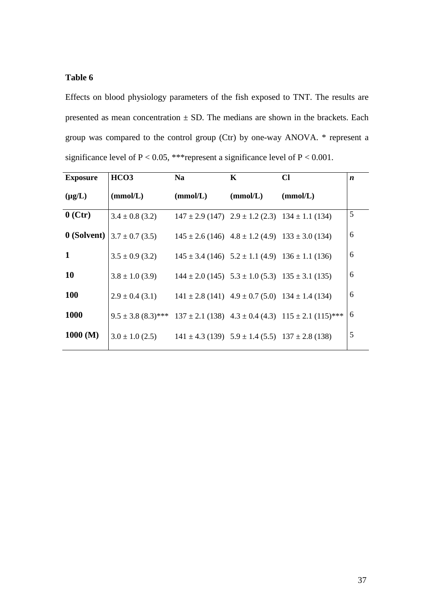Effects on blood physiology parameters of the fish exposed to TNT. The results are presented as mean concentration  $\pm$  SD. The medians are shown in the brackets. Each group was compared to the control group (Ctr) by one-way ANOVA. \* represent a significance level of  $P < 0.05$ , \*\*\*represent a significance level of  $P < 0.001$ .

| <b>Exposure</b> | HCO <sub>3</sub>    | <b>Na</b>                                                   | $\mathbf{K}$ | <b>CI</b>                                                                 | $\boldsymbol{n}$ |
|-----------------|---------------------|-------------------------------------------------------------|--------------|---------------------------------------------------------------------------|------------------|
| $(\mu g/L)$     | (mmol/L)            | (mmol/L)                                                    | (mmol/L)     | (mmol/L)                                                                  |                  |
| $0$ (Ctr)       | $3.4 \pm 0.8$ (3.2) |                                                             |              | $147 \pm 2.9$ (147) $2.9 \pm 1.2$ (2.3) $134 \pm 1.1$ (134)               | 5                |
| 0 (Solvent)     | $3.7 \pm 0.7$ (3.5) | $145 \pm 2.6$ (146) $4.8 \pm 1.2$ (4.9) $133 \pm 3.0$ (134) |              |                                                                           | 6                |
| $\mathbf{1}$    | $3.5 \pm 0.9$ (3.2) | $145 \pm 3.4$ (146) $5.2 \pm 1.1$ (4.9) $136 \pm 1.1$ (136) |              |                                                                           | 6                |
| <b>10</b>       | $3.8 \pm 1.0$ (3.9) | $144 \pm 2.0$ (145) $5.3 \pm 1.0$ (5.3) $135 \pm 3.1$ (135) |              |                                                                           | 6                |
| <b>100</b>      | $2.9 \pm 0.4$ (3.1) | $141 \pm 2.8$ (141) $4.9 \pm 0.7$ (5.0) $134 \pm 1.4$ (134) |              |                                                                           | 6                |
| <b>1000</b>     |                     |                                                             |              | $9.5 \pm 3.8$ (8.3)*** 137 ± 2.1 (138) 4.3 ± 0.4 (4.3) 115 ± 2.1 (115)*** | 6                |
| 1000 (M)        | $3.0 \pm 1.0$ (2.5) | $141 \pm 4.3$ (139) $5.9 \pm 1.4$ (5.5) $137 \pm 2.8$ (138) |              |                                                                           | 5                |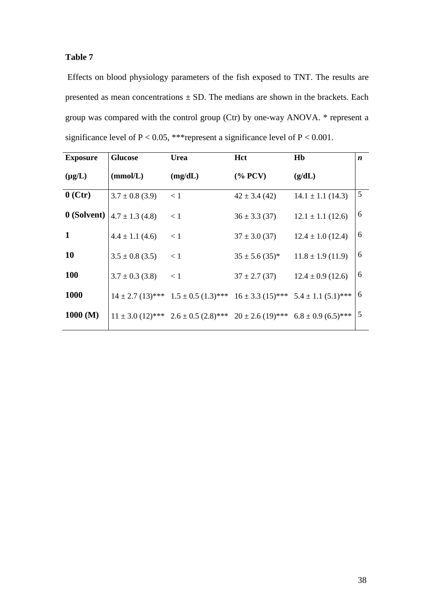Effects on blood physiology parameters of the fish exposed to TNT. The results are presented as mean concentrations  $\pm$  SD. The medians are shown in the brackets. Each group was compared with the control group (Ctr) by one-way ANOVA. \* represent a significance level of  $P < 0.05$ , \*\*\*represent a significance level of  $P < 0.001$ .

| <b>Exposure</b> | <b>Glucose</b>      | <b>Urea</b>                                                                             | Hct                | Hb                    | n |
|-----------------|---------------------|-----------------------------------------------------------------------------------------|--------------------|-----------------------|---|
| $(\mu g/L)$     | (mmol/L)            | (mg/dL)                                                                                 | $(\% PCV)$         | (g/dL)                |   |
| $0$ (Ctr)       | $3.7 \pm 0.8$ (3.9) | $\lt 1$                                                                                 | $42 \pm 3.4$ (42)  | $14.1 \pm 1.1$ (14.3) | 5 |
| 0 (Solvent)     | $4.7 \pm 1.3$ (4.8) | $\lt 1$                                                                                 | $36 \pm 3.3$ (37)  | $12.1 \pm 1.1$ (12.6) | 6 |
| $\mathbf{1}$    | $4.4 \pm 1.1$ (4.6) | < 1                                                                                     | $37 \pm 3.0$ (37)  | $12.4 \pm 1.0$ (12.4) | 6 |
| <b>10</b>       | $3.5 \pm 0.8$ (3.5) | $\lt 1$                                                                                 | $35 \pm 5.6$ (35)* | $11.8 \pm 1.9$ (11.9) | 6 |
| <b>100</b>      | $3.7 \pm 0.3$ (3.8) | $\leq$ 1                                                                                | $37 \pm 2.7$ (37)  | $12.4 \pm 0.9$ (12.6) | 6 |
| <b>1000</b>     |                     | $14 \pm 2.7$ (13)*** $1.5 \pm 0.5$ (1.3)*** $16 \pm 3.3$ (15)*** $5.4 \pm 1.1$ (5.1)*** |                    |                       | 6 |
| 1000 (M)        |                     | $11 \pm 3.0$ (12)*** 2.6 ± 0.5 (2.8)*** 20 ± 2.6 (19)*** 6.8 ± 0.9 (6.5)***             |                    |                       | 5 |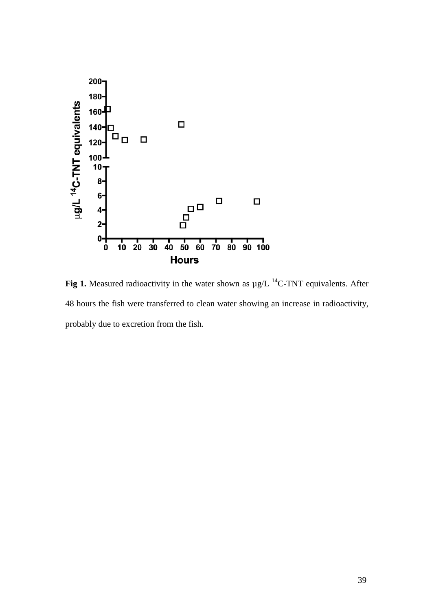

**Fig 1.** Measured radioactivity in the water shown as  $\mu$ g/L <sup>14</sup>C-TNT equivalents. After 48 hours the fish were transferred to clean water showing an increase in radioactivity, probably due to excretion from the fish.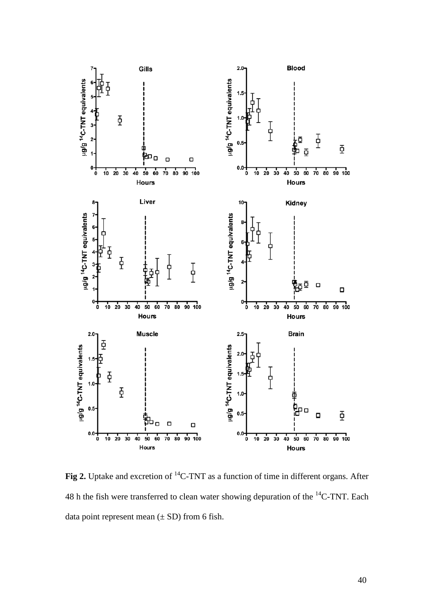

**Fig 2.** Uptake and excretion of 14C-TNT as a function of time in different organs. After 48 h the fish were transferred to clean water showing depuration of the <sup>14</sup>C-TNT. Each data point represent mean  $(\pm SD)$  from 6 fish.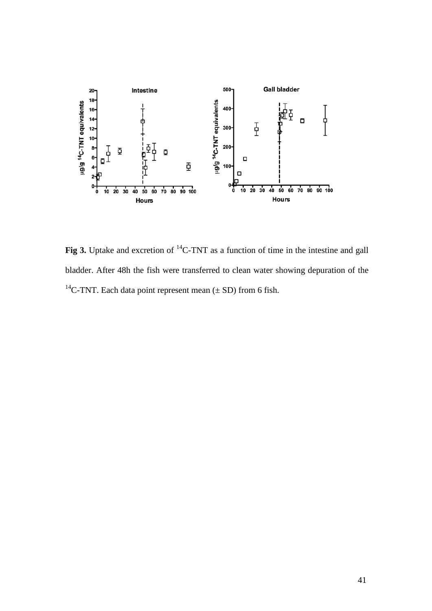

**Fig 3.** Uptake and excretion of <sup>14</sup>C-TNT as a function of time in the intestine and gall bladder. After 48h the fish were transferred to clean water showing depuration of the <sup>14</sup>C-TNT. Each data point represent mean ( $\pm$  SD) from 6 fish.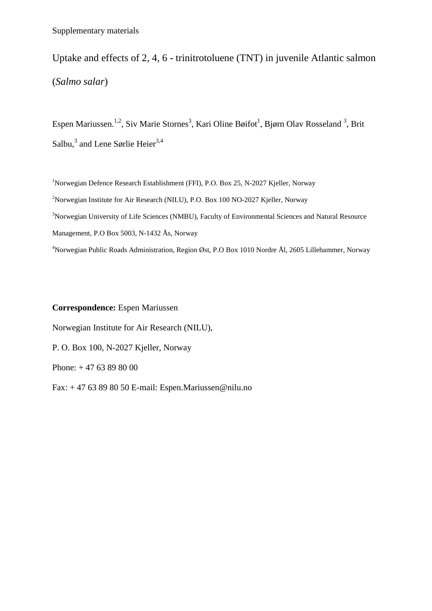Uptake and effects of 2, 4, 6 - trinitrotoluene (TNT) in juvenile Atlantic salmon (*Salmo salar*)

Espen Mariussen.<sup>1,2</sup>, Siv Marie Stornes<sup>3</sup>, Kari Oline Bøifot<sup>1</sup>, Bjørn Olav Rosseland<sup>3</sup>, Brit Salbu, $3$  and Lene Sørlie Heier $3,4$ 

<sup>1</sup>Norwegian Defence Research Establishment (FFI), P.O. Box 25, N-2027 Kjeller, Norway <sup>2</sup>Norwegian Institute for Air Research (NILU), P.O. Box 100 NO-2027 Kjeller, Norway <sup>3</sup>Norwegian University of Life Sciences (NMBU), Faculty of Environmental Sciences and Natural Resource Management, P.O Box 5003, N-1432 Ås, Norway 4 Norwegian Public Roads Administration, Region Øst, P.O Box 1010 Nordre Ål, 2605 Lillehammer, Norway

**Correspondence:** Espen Mariussen Norwegian Institute for Air Research (NILU), P. O. Box 100, N-2027 Kjeller, Norway Phone: + 47 63 89 80 00 Fax: + 47 63 89 80 50 E-mail: Espen.Mariussen@nilu.no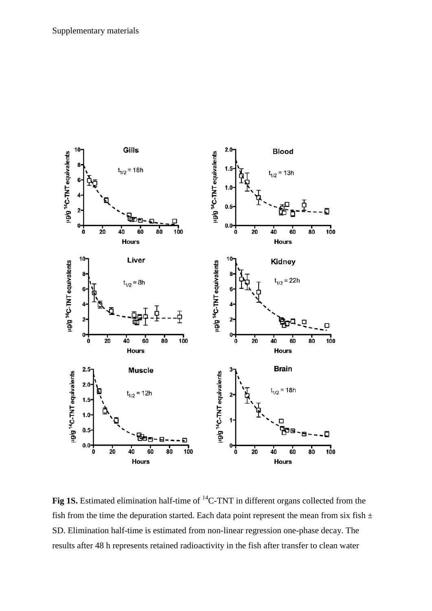

**Fig 1S.** Estimated elimination half-time of <sup>14</sup>C-TNT in different organs collected from the fish from the time the depuration started. Each data point represent the mean from six fish  $\pm$ SD. Elimination half-time is estimated from non-linear regression one-phase decay. The results after 48 h represents retained radioactivity in the fish after transfer to clean water